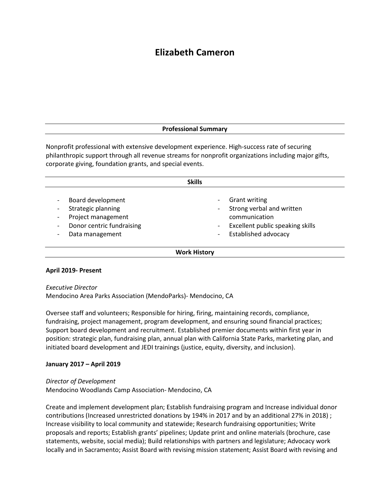# **Elizabeth Cameron**

### **Professional Summary**

Nonprofit professional with extensive development experience. High-success rate of securing philanthropic support through all revenue streams for nonprofit organizations including major gifts, corporate giving, foundation grants, and special events.

| <b>Skills</b>                                                                                                 |                                                                                                                                       |
|---------------------------------------------------------------------------------------------------------------|---------------------------------------------------------------------------------------------------------------------------------------|
| Board development<br>Strategic planning<br>Project management<br>Donor centric fundraising<br>Data management | <b>Grant writing</b><br>Strong verbal and written<br>communication<br>Excellent public speaking skills<br><b>Established advocacy</b> |
| <b>Work History</b>                                                                                           |                                                                                                                                       |

#### **April 2019- Present**

#### *Executive Director*

Mendocino Area Parks Association (MendoParks)- Mendocino, CA

Oversee staff and volunteers; Responsible for hiring, firing, maintaining records, compliance, fundraising, project management, program development, and ensuring sound financial practices; Support board development and recruitment. Established premier documents within first year in position: strategic plan, fundraising plan, annual plan with California State Parks, marketing plan, and initiated board development and JEDI trainings (justice, equity, diversity, and inclusion).

#### **January 2017 – April 2019**

#### *Director of Development*

Mendocino Woodlands Camp Association- Mendocino, CA

Create and implement development plan; Establish fundraising program and Increase individual donor contributions (Increased unrestricted donations by 194% in 2017 and by an additional 27% in 2018) ; Increase visibility to local community and statewide; Research fundraising opportunities; Write proposals and reports; Establish grants' pipelines; Update print and online materials (brochure, case statements, website, social media); Build relationships with partners and legislature; Advocacy work locally and in Sacramento; Assist Board with revising mission statement; Assist Board with revising and